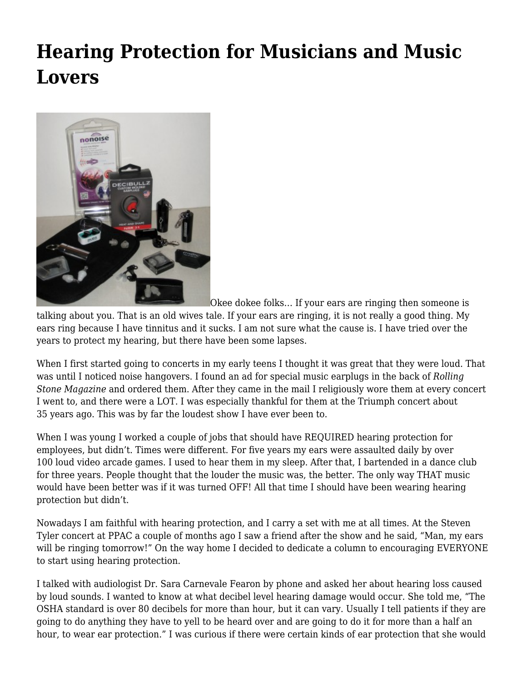# **[Hearing Protection for Musicians and Music](https://motifri.com/hearingprotection/) [Lovers](https://motifri.com/hearingprotection/)**



Okee dokee folks… If your ears are ringing then someone is

talking about you. That is an old wives tale. If your ears are ringing, it is not really a good thing. My ears ring because I have tinnitus and it sucks. I am not sure what the cause is. I have tried over the years to protect my hearing, but there have been some lapses.

When I first started going to concerts in my early teens I thought it was great that they were loud. That was until I noticed noise hangovers. I found an ad for special music earplugs in the back of *Rolling Stone Magazine* and ordered them. After they came in the mail I religiously wore them at every concert I went to, and there were a LOT. I was especially thankful for them at the Triumph concert about 35 years ago. This was by far the loudest show I have ever been to.

When I was young I worked a couple of jobs that should have REQUIRED hearing protection for employees, but didn't. Times were different. For five years my ears were assaulted daily by over 100 loud video arcade games. I used to hear them in my sleep. After that, I bartended in a dance club for three years. People thought that the louder the music was, the better. The only way THAT music would have been better was if it was turned OFF! All that time I should have been wearing hearing protection but didn't.

Nowadays I am faithful with hearing protection, and I carry a set with me at all times. At the Steven Tyler concert at PPAC a couple of months ago I saw a friend after the show and he said, "Man, my ears will be ringing tomorrow!" On the way home I decided to dedicate a column to encouraging EVERYONE to start using hearing protection.

I talked with audiologist Dr. Sara Carnevale Fearon by phone and asked her about hearing loss caused by loud sounds. I wanted to know at what decibel level hearing damage would occur. She told me, "The OSHA standard is over 80 decibels for more than hour, but it can vary. Usually I tell patients if they are going to do anything they have to yell to be heard over and are going to do it for more than a half an hour, to wear ear protection." I was curious if there were certain kinds of ear protection that she would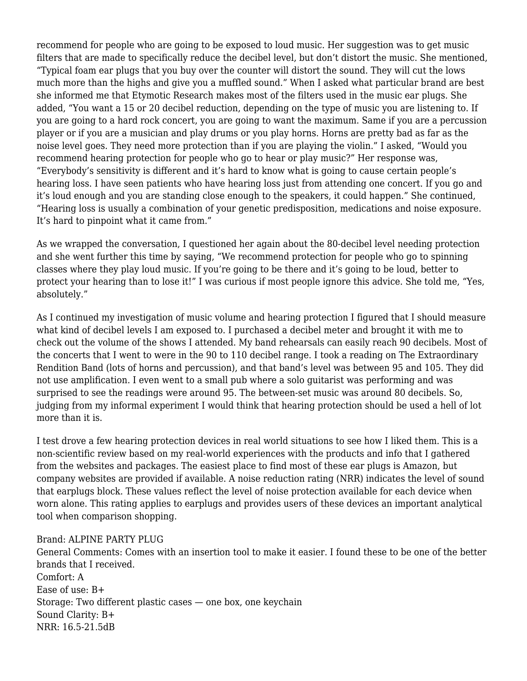recommend for people who are going to be exposed to loud music. Her suggestion was to get music filters that are made to specifically reduce the decibel level, but don't distort the music. She mentioned, "Typical foam ear plugs that you buy over the counter will distort the sound. They will cut the lows much more than the highs and give you a muffled sound." When I asked what particular brand are best she informed me that Etymotic Research makes most of the filters used in the music ear plugs. She added, "You want a 15 or 20 decibel reduction, depending on the type of music you are listening to. If you are going to a hard rock concert, you are going to want the maximum. Same if you are a percussion player or if you are a musician and play drums or you play horns. Horns are pretty bad as far as the noise level goes. They need more protection than if you are playing the violin." I asked, "Would you recommend hearing protection for people who go to hear or play music?" Her response was, "Everybody's sensitivity is different and it's hard to know what is going to cause certain people's hearing loss. I have seen patients who have hearing loss just from attending one concert. If you go and it's loud enough and you are standing close enough to the speakers, it could happen." She continued, "Hearing loss is usually a combination of your genetic predisposition, medications and noise exposure. It's hard to pinpoint what it came from."

As we wrapped the conversation, I questioned her again about the 80-decibel level needing protection and she went further this time by saying, "We recommend protection for people who go to spinning classes where they play loud music. If you're going to be there and it's going to be loud, better to protect your hearing than to lose it!" I was curious if most people ignore this advice. She told me, "Yes, absolutely."

As I continued my investigation of music volume and hearing protection I figured that I should measure what kind of decibel levels I am exposed to. I purchased a decibel meter and brought it with me to check out the volume of the shows I attended. My band rehearsals can easily reach 90 decibels. Most of the concerts that I went to were in the 90 to 110 decibel range. I took a reading on The Extraordinary Rendition Band (lots of horns and percussion), and that band's level was between 95 and 105. They did not use amplification. I even went to a small pub where a solo guitarist was performing and was surprised to see the readings were around 95. The between-set music was around 80 decibels. So, judging from my informal experiment I would think that hearing protection should be used a hell of lot more than it is.

I test drove a few hearing protection devices in real world situations to see how I liked them. This is a non-scientific review based on my real-world experiences with the products and info that I gathered from the websites and packages. The easiest place to find most of these ear plugs is Amazon, but company websites are provided if available. A noise reduction rating (NRR) indicates the level of sound that earplugs block. These values reflect the level of noise protection available for each device when worn alone. This rating applies to earplugs and provides users of these devices an important analytical tool when comparison shopping.

#### Brand: ALPINE PARTY PLUG

General Comments: Comes with an insertion tool to make it easier. I found these to be one of the better brands that I received. Comfort: A Ease of use: B+ Storage: Two different plastic cases — one box, one keychain Sound Clarity: B+ NRR: 16.5-21.5dB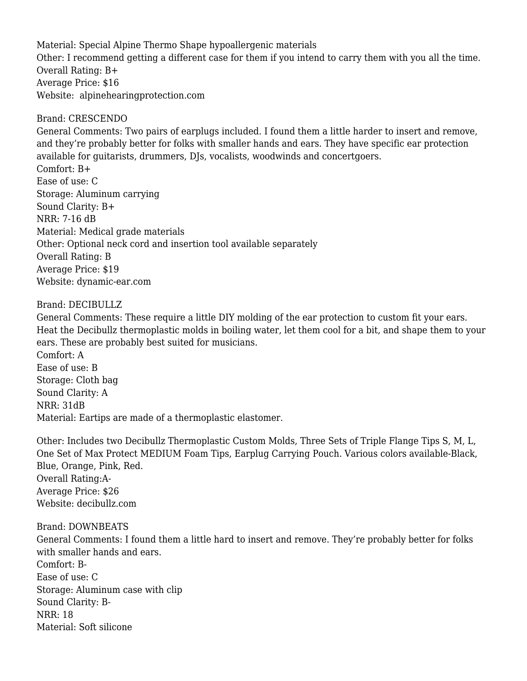Material: Special Alpine Thermo Shape hypoallergenic materials Other: I recommend getting a different case for them if you intend to carry them with you all the time. Overall Rating: B+ Average Price: \$16 Website: [alpinehearingprotection.com](http://www.alpinehearingprotection.com/)

### Brand: CRESCENDO

General Comments: Two pairs of earplugs included. I found them a little harder to insert and remove, and they're probably better for folks with smaller hands and ears. They have specific ear protection available for guitarists, drummers, DJs, vocalists, woodwinds and concertgoers.

Comfort: B+ Ease of use: C Storage: Aluminum carrying Sound Clarity: B+ NRR: 7-16 dB Material: Medical grade materials Other: Optional neck cord and insertion tool available separately Overall Rating: B Average Price: \$19 Website: [dynamic-ear.com](http://www.dynamic-ear.com/)

## Brand: DECIBULLZ

General Comments: These require a little DIY molding of the ear protection to custom fit your ears. Heat the Decibullz thermoplastic molds in boiling water, let them cool for a bit, and shape them to your ears. These are probably best suited for musicians.

Comfort: A Ease of use: B Storage: Cloth bag Sound Clarity: A NRR: 31dB Material: Eartips are made of a thermoplastic elastomer.

Other: Includes two Decibullz Thermoplastic Custom Molds, Three Sets of Triple Flange Tips S, M, L, One Set of Max Protect MEDIUM Foam Tips, Earplug Carrying Pouch. Various colors available-Black, Blue, Orange, Pink, Red. Overall Rating:A-Average Price: \$26 Website: [decibullz.com](http://www.decibullz.com/)

#### Brand: DOWNBEATS

General Comments: I found them a little hard to insert and remove. They're probably better for folks with smaller hands and ears. Comfort: B-Ease of use: C Storage: Aluminum case with clip Sound Clarity: B-NRR: 18 Material: Soft silicone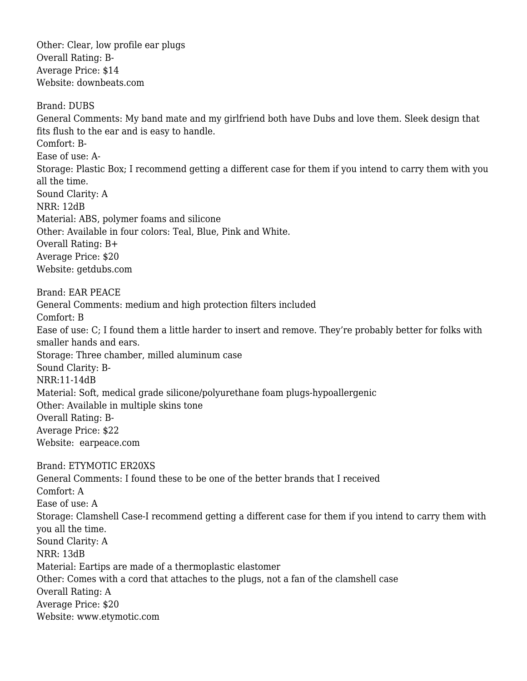Other: Clear, low profile ear plugs Overall Rating: B-Average Price: \$14 Website: [downbeats.com](http://www.downbeats.com/)

Brand: DUBS General Comments: My band mate and my girlfriend both have Dubs and love them. Sleek design that fits flush to the ear and is easy to handle. Comfort: B-Ease of use: A-Storage: Plastic Box; I recommend getting a different case for them if you intend to carry them with you all the time. Sound Clarity: A NRR: 12dB Material: ABS, polymer foams and silicone Other: Available in four colors: Teal, Blue, Pink and White. Overall Rating: B+ Average Price: \$20 Website: [getdubs.com](http://www.getdubs.com/) Brand: EAR PEACE General Comments: medium and high protection filters included Comfort: B Ease of use: C; I found them a little harder to insert and remove. They're probably better for folks with smaller hands and ears. Storage: Three chamber, milled aluminum case Sound Clarity: B-NRR:11-14dB Material: Soft, medical grade silicone/polyurethane foam plugs-hypoallergenic Other: Available in multiple skins tone Overall Rating: B-Average Price: \$22 Website: [earpeace.com](http://www.earpeace.com/) Brand: ETYMOTIC ER20XS General Comments: I found these to be one of the better brands that I received Comfort: A Ease of use: A Storage: Clamshell Case-I recommend getting a different case for them if you intend to carry them with you all the time. Sound Clarity: A NRR: 13dB Material: Eartips are made of a thermoplastic elastomer Other: Comes with a cord that attaches to the plugs, not a fan of the clamshell case Overall Rating: A Average Price: [\\$20](https://www.facebook.com/messages/t/fuzmuzek#) Website: [www.etymotic.com](http://www.etymotic.com/)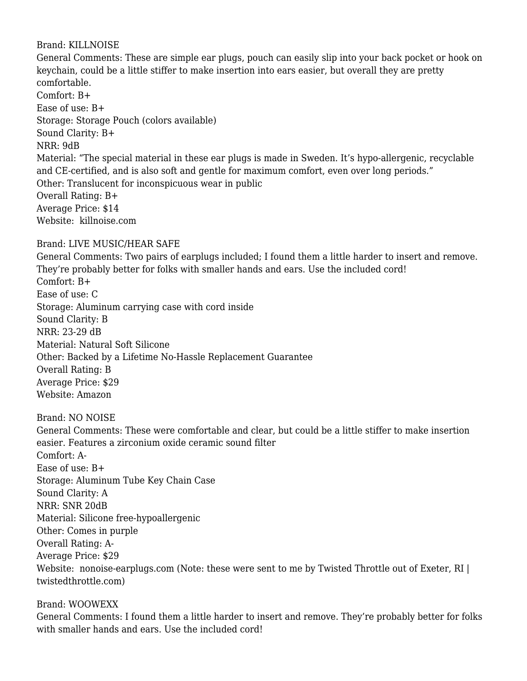### Brand: KILLNOISE

General Comments: These are simple ear plugs, pouch can easily slip into your back pocket or hook on keychain, could be a little stiffer to make insertion into ears easier, but overall they are pretty comfortable. Comfort: B+ Ease of use: B+ Storage: Storage Pouch (colors available) Sound Clarity: B+ NRR: 9dB Material: "The special material in these ear plugs is made in Sweden. It's hypo-allergenic, recyclable and CE-certified, and is also soft and gentle for maximum comfort, even over long periods." Other: Translucent for inconspicuous wear in public Overall Rating: B+ Average Price: \$14 Website: [killnoise.com](http://www.killnoise.com/)

## Brand: LIVE MUSIC/HEAR SAFE

General Comments: Two pairs of earplugs included; I found them a little harder to insert and remove. They're probably better for folks with smaller hands and ears. Use the included cord! Comfort: B+ Ease of use: C Storage: Aluminum carrying case with cord inside Sound Clarity: B NRR: 23-29 dB Material: Natural Soft Silicone Other: Backed by a Lifetime No-Hassle Replacement Guarantee Overall Rating: B Average Price: \$29 Website: Amazon

Brand: NO NOISE

General Comments: These were comfortable and clear, but could be a little stiffer to make insertion easier. Features a zirconium oxide ceramic sound filter Comfort: A-Ease of use: B+ Storage: Aluminum Tube Key Chain Case Sound Clarity: A NRR: SNR 20dB Material: Silicone free-hypoallergenic Other: Comes in purple Overall Rating: A-Average Price: \$29 Website: [nonoise-earplugs.com](http://www.nonoise-earplugs.com/) (Note: these were sent to me by Twisted Throttle out of Exeter, RI | [twistedthrottle.com](http://www.twistedthrottle.com/))

## Brand: WOOWEXX

General Comments: I found them a little harder to insert and remove. They're probably better for folks with smaller hands and ears. Use the included cord!